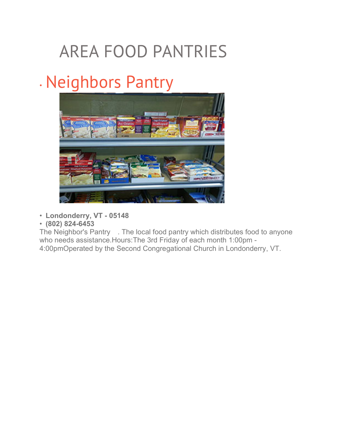## AREA FOOD PANTRIES

## • Neighbors Pantry



- **Londonderry, VT - 05148**
- **(802) 824-6453**

The Neighbor's Pantry . The local food pantry which distributes food to anyone who needs assistance.Hours:The 3rd Friday of each month 1:00pm - 4:00pmOperated by the Second Congregational Church in Londonderry, VT.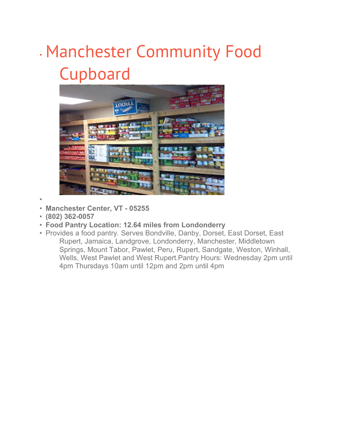## • Manchester Community Food Cupboard



- •
- **Manchester Center, VT - 05255**
- **(802) 362-0057**
- **Food Pantry Location: 12.64 miles from Londonderry**
- Provides a food pantry. Serves Bondville, Danby, Dorset, East Dorset, East Rupert, Jamaica, Landgrove, Londonderry, Manchester, Middletown Springs, Mount Tabor, Pawlet, Peru, Rupert, Sandgate, Weston, Winhall, Wells, West Pawlet and West Rupert.Pantry Hours: Wednesday 2pm until 4pm Thursdays 10am until 12pm and 2pm until 4pm